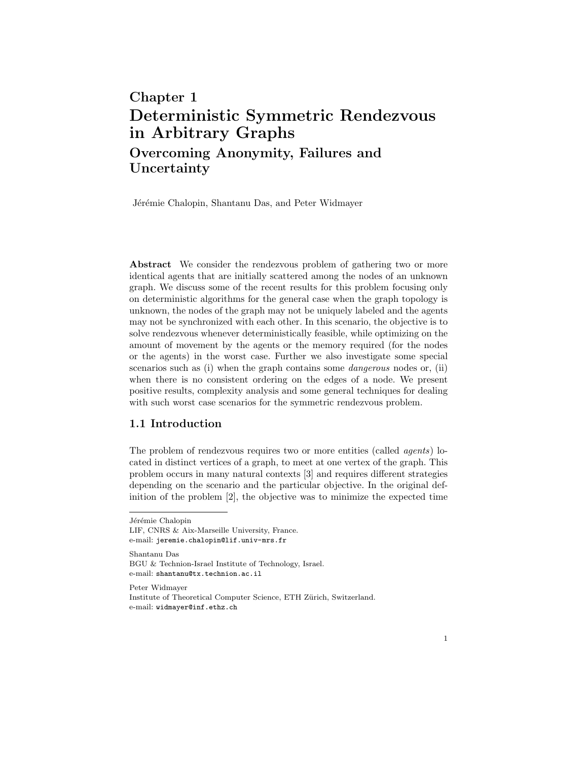# Chapter 1 Deterministic Symmetric Rendezvous in Arbitrary Graphs Overcoming Anonymity, Failures and Uncertainty

Jérémie Chalopin, Shantanu Das, and Peter Widmayer

Abstract We consider the rendezvous problem of gathering two or more identical agents that are initially scattered among the nodes of an unknown graph. We discuss some of the recent results for this problem focusing only on deterministic algorithms for the general case when the graph topology is unknown, the nodes of the graph may not be uniquely labeled and the agents may not be synchronized with each other. In this scenario, the objective is to solve rendezvous whenever deterministically feasible, while optimizing on the amount of movement by the agents or the memory required (for the nodes or the agents) in the worst case. Further we also investigate some special scenarios such as (i) when the graph contains some dangerous nodes or, (ii) when there is no consistent ordering on the edges of a node. We present positive results, complexity analysis and some general techniques for dealing with such worst case scenarios for the symmetric rendezvous problem.

## 1.1 Introduction

The problem of rendezvous requires two or more entities (called agents) located in distinct vertices of a graph, to meet at one vertex of the graph. This problem occurs in many natural contexts [3] and requires different strategies depending on the scenario and the particular objective. In the original definition of the problem [2], the objective was to minimize the expected time

Shantanu Das BGU & Technion-Israel Institute of Technology, Israel. e-mail: shantanu@tx.technion.ac.il

Peter Widmayer

Jérémie Chalopin

LIF, CNRS & Aix-Marseille University, France. e-mail: jeremie.chalopin@lif.univ-mrs.fr

Institute of Theoretical Computer Science, ETH Zürich, Switzerland. e-mail: widmayer@inf.ethz.ch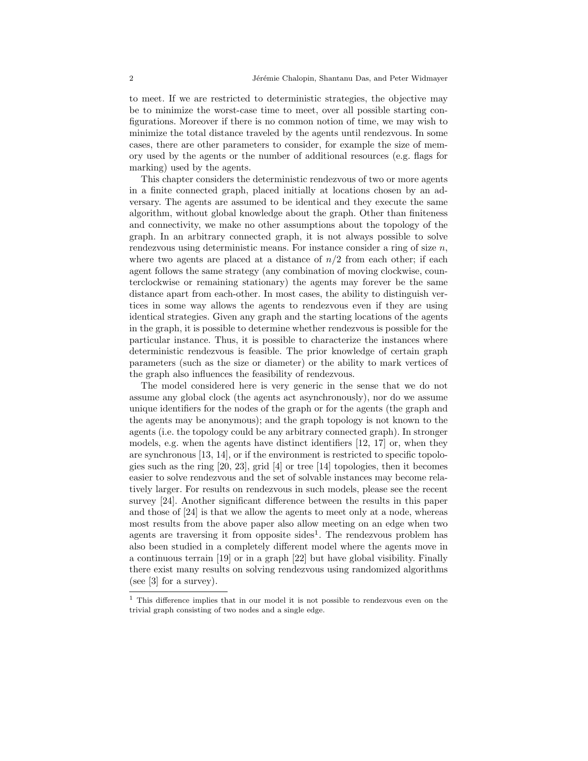to meet. If we are restricted to deterministic strategies, the objective may be to minimize the worst-case time to meet, over all possible starting configurations. Moreover if there is no common notion of time, we may wish to minimize the total distance traveled by the agents until rendezvous. In some cases, there are other parameters to consider, for example the size of memory used by the agents or the number of additional resources (e.g. flags for marking) used by the agents.

This chapter considers the deterministic rendezvous of two or more agents in a finite connected graph, placed initially at locations chosen by an adversary. The agents are assumed to be identical and they execute the same algorithm, without global knowledge about the graph. Other than finiteness and connectivity, we make no other assumptions about the topology of the graph. In an arbitrary connected graph, it is not always possible to solve rendezvous using deterministic means. For instance consider a ring of size  $n$ , where two agents are placed at a distance of  $n/2$  from each other; if each agent follows the same strategy (any combination of moving clockwise, counterclockwise or remaining stationary) the agents may forever be the same distance apart from each-other. In most cases, the ability to distinguish vertices in some way allows the agents to rendezvous even if they are using identical strategies. Given any graph and the starting locations of the agents in the graph, it is possible to determine whether rendezvous is possible for the particular instance. Thus, it is possible to characterize the instances where deterministic rendezvous is feasible. The prior knowledge of certain graph parameters (such as the size or diameter) or the ability to mark vertices of the graph also influences the feasibility of rendezvous.

The model considered here is very generic in the sense that we do not assume any global clock (the agents act asynchronously), nor do we assume unique identifiers for the nodes of the graph or for the agents (the graph and the agents may be anonymous); and the graph topology is not known to the agents (i.e. the topology could be any arbitrary connected graph). In stronger models, e.g. when the agents have distinct identifiers [12, 17] or, when they are synchronous [13, 14], or if the environment is restricted to specific topologies such as the ring [20, 23], grid [4] or tree [14] topologies, then it becomes easier to solve rendezvous and the set of solvable instances may become relatively larger. For results on rendezvous in such models, please see the recent survey [24]. Another significant difference between the results in this paper and those of [24] is that we allow the agents to meet only at a node, whereas most results from the above paper also allow meeting on an edge when two agents are traversing it from opposite sides<sup>1</sup>. The rendezvous problem has also been studied in a completely different model where the agents move in a continuous terrain [19] or in a graph [22] but have global visibility. Finally there exist many results on solving rendezvous using randomized algorithms (see [3] for a survey).

 $<sup>1</sup>$  This difference implies that in our model it is not possible to rendezvous even on the</sup> trivial graph consisting of two nodes and a single edge.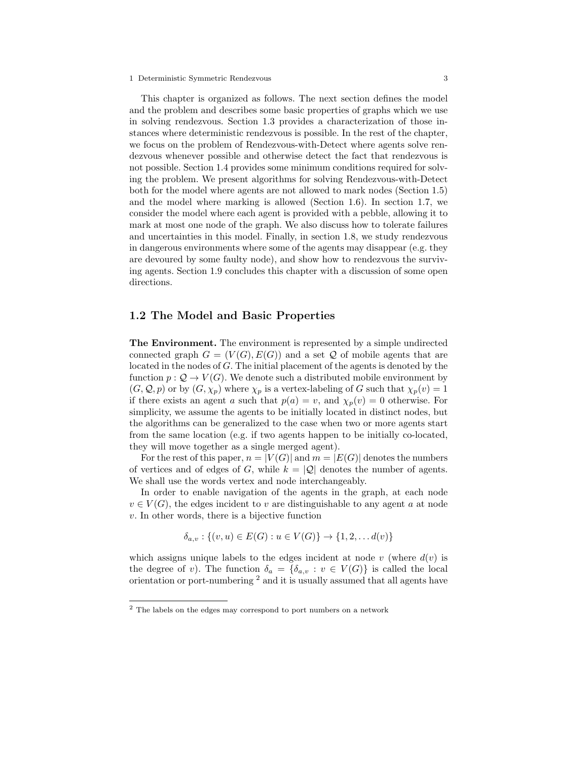#### 1 Deterministic Symmetric Rendezvous 3

This chapter is organized as follows. The next section defines the model and the problem and describes some basic properties of graphs which we use in solving rendezvous. Section 1.3 provides a characterization of those instances where deterministic rendezvous is possible. In the rest of the chapter, we focus on the problem of Rendezvous-with-Detect where agents solve rendezvous whenever possible and otherwise detect the fact that rendezvous is not possible. Section 1.4 provides some minimum conditions required for solving the problem. We present algorithms for solving Rendezvous-with-Detect both for the model where agents are not allowed to mark nodes (Section 1.5) and the model where marking is allowed (Section 1.6). In section 1.7, we consider the model where each agent is provided with a pebble, allowing it to mark at most one node of the graph. We also discuss how to tolerate failures and uncertainties in this model. Finally, in section 1.8, we study rendezvous in dangerous environments where some of the agents may disappear (e.g. they are devoured by some faulty node), and show how to rendezvous the surviving agents. Section 1.9 concludes this chapter with a discussion of some open directions.

## 1.2 The Model and Basic Properties

The Environment. The environment is represented by a simple undirected connected graph  $G = (V(G), E(G))$  and a set Q of mobile agents that are located in the nodes of  $G$ . The initial placement of the agents is denoted by the function  $p: \mathcal{Q} \to V(G)$ . We denote such a distributed mobile environment by  $(G, \mathcal{Q}, p)$  or by  $(G, \chi_p)$  where  $\chi_p$  is a vertex-labeling of G such that  $\chi_p(v) = 1$ if there exists an agent a such that  $p(a) = v$ , and  $\chi_p(v) = 0$  otherwise. For simplicity, we assume the agents to be initially located in distinct nodes, but the algorithms can be generalized to the case when two or more agents start from the same location (e.g. if two agents happen to be initially co-located, they will move together as a single merged agent).

For the rest of this paper,  $n = |V(G)|$  and  $m = |E(G)|$  denotes the numbers of vertices and of edges of G, while  $k = |Q|$  denotes the number of agents. We shall use the words vertex and node interchangeably.

In order to enable navigation of the agents in the graph, at each node  $v \in V(G)$ , the edges incident to v are distinguishable to any agent a at node  $v$ . In other words, there is a bijective function

$$
\delta_{a,v} : \{(v, u) \in E(G) : u \in V(G)\} \to \{1, 2, \dots d(v)\}
$$

which assigns unique labels to the edges incident at node v (where  $d(v)$  is the degree of v). The function  $\delta_a = {\delta_{a,v} : v \in V(G)}$  is called the local orientation or port-numbering <sup>2</sup> and it is usually assumed that all agents have

<sup>2</sup> The labels on the edges may correspond to port numbers on a network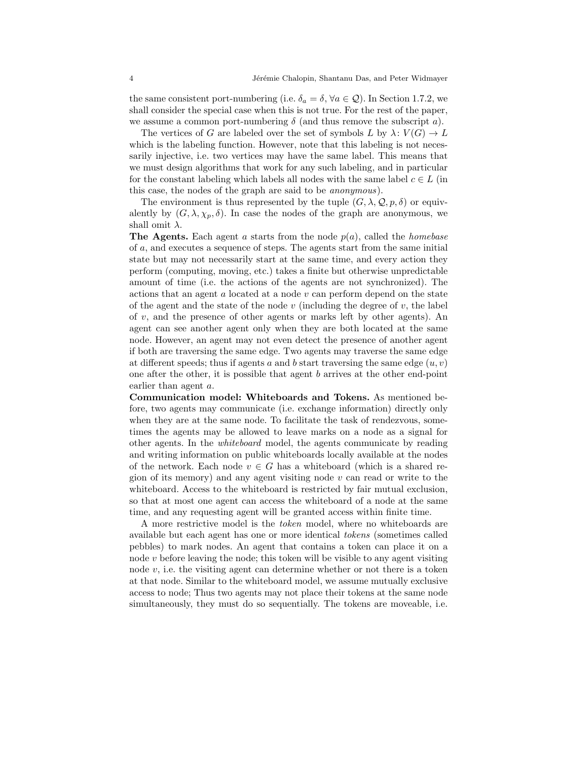the same consistent port-numbering (i.e.  $\delta_a = \delta, \forall a \in \mathcal{Q}$ ). In Section 1.7.2, we shall consider the special case when this is not true. For the rest of the paper, we assume a common port-numbering  $\delta$  (and thus remove the subscript a).

The vertices of G are labeled over the set of symbols L by  $\lambda: V(G) \to L$ which is the labeling function. However, note that this labeling is not necessarily injective, i.e. two vertices may have the same label. This means that we must design algorithms that work for any such labeling, and in particular for the constant labeling which labels all nodes with the same label  $c \in L$  (in this case, the nodes of the graph are said to be anonymous).

The environment is thus represented by the tuple  $(G, \lambda, \mathcal{Q}, p, \delta)$  or equivalently by  $(G, \lambda, \chi_p, \delta)$ . In case the nodes of the graph are anonymous, we shall omit  $\lambda$ .

**The Agents.** Each agent a starts from the node  $p(a)$ , called the *homebase* of a, and executes a sequence of steps. The agents start from the same initial state but may not necessarily start at the same time, and every action they perform (computing, moving, etc.) takes a finite but otherwise unpredictable amount of time (i.e. the actions of the agents are not synchronized). The actions that an agent a located at a node v can perform depend on the state of the agent and the state of the node  $v$  (including the degree of  $v$ , the label of  $v$ , and the presence of other agents or marks left by other agents). An agent can see another agent only when they are both located at the same node. However, an agent may not even detect the presence of another agent if both are traversing the same edge. Two agents may traverse the same edge at different speeds; thus if agents a and b start traversing the same edge  $(u, v)$ one after the other, it is possible that agent  $b$  arrives at the other end-point earlier than agent a.

Communication model: Whiteboards and Tokens. As mentioned before, two agents may communicate (i.e. exchange information) directly only when they are at the same node. To facilitate the task of rendezvous, sometimes the agents may be allowed to leave marks on a node as a signal for other agents. In the whiteboard model, the agents communicate by reading and writing information on public whiteboards locally available at the nodes of the network. Each node  $v \in G$  has a whiteboard (which is a shared region of its memory) and any agent visiting node  $v$  can read or write to the whiteboard. Access to the whiteboard is restricted by fair mutual exclusion, so that at most one agent can access the whiteboard of a node at the same time, and any requesting agent will be granted access within finite time.

A more restrictive model is the token model, where no whiteboards are available but each agent has one or more identical tokens (sometimes called pebbles) to mark nodes. An agent that contains a token can place it on a node  $v$  before leaving the node; this token will be visible to any agent visiting node  $v$ , i.e. the visiting agent can determine whether or not there is a token at that node. Similar to the whiteboard model, we assume mutually exclusive access to node; Thus two agents may not place their tokens at the same node simultaneously, they must do so sequentially. The tokens are moveable, i.e.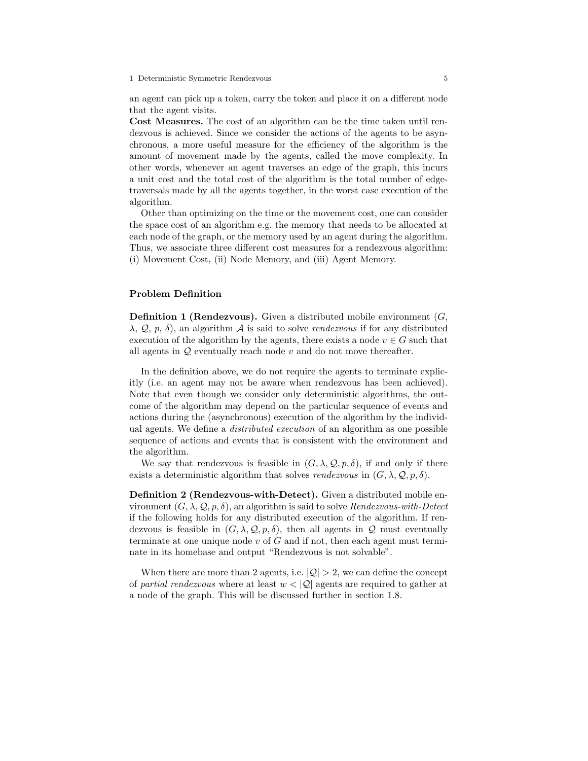an agent can pick up a token, carry the token and place it on a different node that the agent visits.

Cost Measures. The cost of an algorithm can be the time taken until rendezvous is achieved. Since we consider the actions of the agents to be asynchronous, a more useful measure for the efficiency of the algorithm is the amount of movement made by the agents, called the move complexity. In other words, whenever an agent traverses an edge of the graph, this incurs a unit cost and the total cost of the algorithm is the total number of edgetraversals made by all the agents together, in the worst case execution of the algorithm.

Other than optimizing on the time or the movement cost, one can consider the space cost of an algorithm e.g. the memory that needs to be allocated at each node of the graph, or the memory used by an agent during the algorithm. Thus, we associate three different cost measures for a rendezvous algorithm: (i) Movement Cost, (ii) Node Memory, and (iii) Agent Memory.

#### Problem Definition

**Definition 1 (Rendezvous).** Given a distributed mobile environment  $(G,$  $\lambda$ ,  $\mathcal{Q}$ ,  $p$ ,  $\delta$ ), an algorithm  $\mathcal A$  is said to solve *rendezvous* if for any distributed execution of the algorithm by the agents, there exists a node  $v \in G$  such that all agents in  $\mathcal Q$  eventually reach node  $v$  and do not move thereafter.

In the definition above, we do not require the agents to terminate explicitly (i.e. an agent may not be aware when rendezvous has been achieved). Note that even though we consider only deterministic algorithms, the outcome of the algorithm may depend on the particular sequence of events and actions during the (asynchronous) execution of the algorithm by the individual agents. We define a distributed execution of an algorithm as one possible sequence of actions and events that is consistent with the environment and the algorithm.

We say that rendezvous is feasible in  $(G, \lambda, \mathcal{Q}, p, \delta)$ , if and only if there exists a deterministic algorithm that solves *rendezvous* in  $(G, \lambda, Q, p, \delta)$ .

Definition 2 (Rendezvous-with-Detect). Given a distributed mobile environment  $(G, \lambda, \mathcal{Q}, p, \delta)$ , an algorithm is said to solve Rendezvous-with-Detect if the following holds for any distributed execution of the algorithm. If rendezvous is feasible in  $(G, \lambda, \mathcal{Q}, p, \delta)$ , then all agents in  $\mathcal{Q}$  must eventually terminate at one unique node  $v$  of  $G$  and if not, then each agent must terminate in its homebase and output "Rendezvous is not solvable".

When there are more than 2 agents, i.e.  $|Q| > 2$ , we can define the concept of partial rendezvous where at least  $w < |\mathcal{Q}|$  agents are required to gather at a node of the graph. This will be discussed further in section 1.8.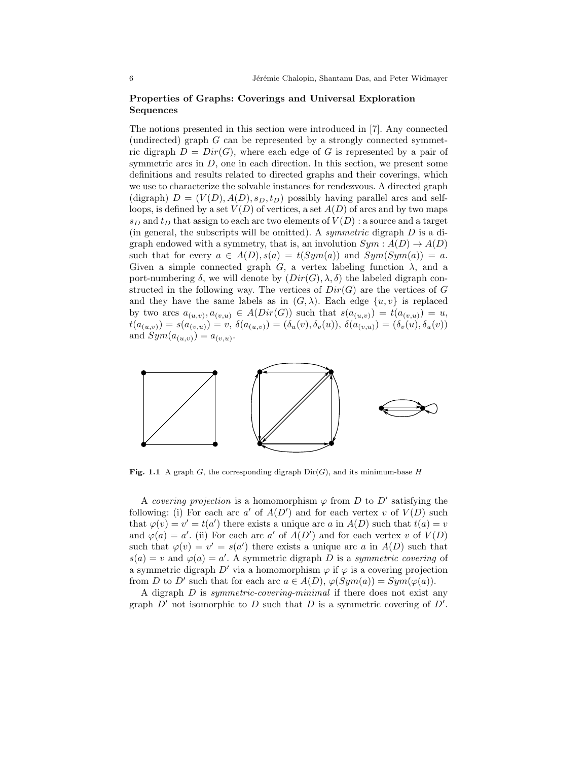#### Properties of Graphs: Coverings and Universal Exploration Sequences

The notions presented in this section were introduced in [7]. Any connected (undirected) graph G can be represented by a strongly connected symmetric digraph  $D = Dir(G)$ , where each edge of G is represented by a pair of symmetric arcs in  $D$ , one in each direction. In this section, we present some definitions and results related to directed graphs and their coverings, which we use to characterize the solvable instances for rendezvous. A directed graph (digraph)  $D = (V(D), A(D), s_D, t_D)$  possibly having parallel arcs and selfloops, is defined by a set  $V(D)$  of vertices, a set  $A(D)$  of arcs and by two maps  $s_D$  and  $t_D$  that assign to each arc two elements of  $V(D)$  : a source and a target (in general, the subscripts will be omitted). A *symmetric* digraph  $D$  is a digraph endowed with a symmetry, that is, an involution  $Sym : A(D) \rightarrow A(D)$ such that for every  $a \in A(D)$ ,  $s(a) = t(Sym(a))$  and  $Sym(Sym(a)) = a$ . Given a simple connected graph G, a vertex labeling function  $\lambda$ , and a port-numbering  $\delta$ , we will denote by  $(Dir(G), \lambda, \delta)$  the labeled digraph constructed in the following way. The vertices of  $Dir(G)$  are the vertices of G and they have the same labels as in  $(G, \lambda)$ . Each edge  $\{u, v\}$  is replaced by two arcs  $a_{(u,v)}, a_{(v,u)} \in A(Dir(G))$  such that  $s(a_{(u,v)}) = t(a_{(v,u)}) = u$ ,  $t(a_{(u,v)}) = s(a_{(v,u)}) = v, \, \delta(a_{(u,v)}) = (\delta_u(v), \delta_v(u)), \, \delta(a_{(v,u)}) = (\delta_v(u), \delta_u(v))$ and  $Sym(a_{(u,v)}) = a_{(v,u)}$ .



Fig. 1.1 A graph G, the corresponding digraph  $Dir(G)$ , and its minimum-base H

A covering projection is a homomorphism  $\varphi$  from D to D' satisfying the following: (i) For each arc  $a'$  of  $A(D')$  and for each vertex v of  $V(D)$  such that  $\varphi(v) = v' = t(a')$  there exists a unique arc a in  $A(D)$  such that  $t(a) = v$ and  $\varphi(a) = a'$ . (ii) For each arc a' of  $A(D')$  and for each vertex v of  $V(D)$ such that  $\varphi(v) = v' = s(a')$  there exists a unique arc a in  $A(D)$  such that  $s(a) = v$  and  $\varphi(a) = a'$ . A symmetric digraph D is a symmetric covering of a symmetric digraph  $D'$  via a homomorphism  $\varphi$  if  $\varphi$  is a covering projection from D to D' such that for each arc  $a \in A(D)$ ,  $\varphi(Sym(a)) = Sym(\varphi(a))$ .

A digraph D is symmetric-covering-minimal if there does not exist any graph  $D'$  not isomorphic to D such that D is a symmetric covering of  $D'$ .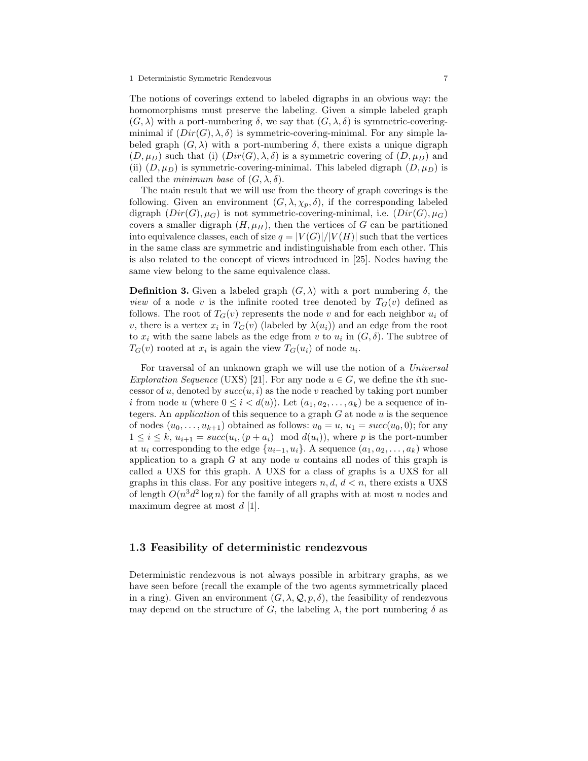The notions of coverings extend to labeled digraphs in an obvious way: the homomorphisms must preserve the labeling. Given a simple labeled graph  $(G, \lambda)$  with a port-numbering  $\delta$ , we say that  $(G, \lambda, \delta)$  is symmetric-coveringminimal if  $(Dir(G), \lambda, \delta)$  is symmetric-covering-minimal. For any simple labeled graph  $(G, \lambda)$  with a port-numbering  $\delta$ , there exists a unique digraph  $(D, \mu_D)$  such that (i)  $(Dir(G), \lambda, \delta)$  is a symmetric covering of  $(D, \mu_D)$  and (ii)  $(D, \mu_D)$  is symmetric-covering-minimal. This labeled digraph  $(D, \mu_D)$  is called the *minimum base* of  $(G, \lambda, \delta)$ .

The main result that we will use from the theory of graph coverings is the following. Given an environment  $(G, \lambda, \chi_p, \delta)$ , if the corresponding labeled digraph  $(Dir(G), \mu_G)$  is not symmetric-covering-minimal, i.e.  $(Dir(G), \mu_G)$ covers a smaller digraph  $(H, \mu_H)$ , then the vertices of G can be partitioned into equivalence classes, each of size  $q = |V(G)|/|V(H)|$  such that the vertices in the same class are symmetric and indistinguishable from each other. This is also related to the concept of views introduced in [25]. Nodes having the same view belong to the same equivalence class.

**Definition 3.** Given a labeled graph  $(G, \lambda)$  with a port numbering  $\delta$ , the *view* of a node v is the infinite rooted tree denoted by  $T_G(v)$  defined as follows. The root of  $T_G(v)$  represents the node v and for each neighbor  $u_i$  of v, there is a vertex  $x_i$  in  $T_G(v)$  (labeled by  $\lambda(u_i)$ ) and an edge from the root to  $x_i$  with the same labels as the edge from v to  $u_i$  in  $(G, \delta)$ . The subtree of  $T_G(v)$  rooted at  $x_i$  is again the view  $T_G(u_i)$  of node  $u_i$ .

For traversal of an unknown graph we will use the notion of a Universal Exploration Sequence (UXS) [21]. For any node  $u \in G$ , we define the *i*th successor of u, denoted by  $succ(u, i)$  as the node v reached by taking port number i from node u (where  $0 \le i \le d(u)$ ). Let  $(a_1, a_2, \ldots, a_k)$  be a sequence of integers. An *application* of this sequence to a graph  $G$  at node  $u$  is the sequence of nodes  $(u_0, \ldots, u_{k+1})$  obtained as follows:  $u_0 = u$ ,  $u_1 = succ(u_0, 0)$ ; for any  $1 \leq i \leq k$ ,  $u_{i+1} = succ(u_i, (p+a_i) \mod d(u_i))$ , where p is the port-number at  $u_i$  corresponding to the edge  $\{u_{i-1}, u_i\}$ . A sequence  $(a_1, a_2, \ldots, a_k)$  whose application to a graph  $G$  at any node  $u$  contains all nodes of this graph is called a UXS for this graph. A UXS for a class of graphs is a UXS for all graphs in this class. For any positive integers  $n, d, d \lt n$ , there exists a UXS of length  $O(n^3d^2 \log n)$  for the family of all graphs with at most n nodes and maximum degree at most  $d \vert 1$ .

#### 1.3 Feasibility of deterministic rendezvous

Deterministic rendezvous is not always possible in arbitrary graphs, as we have seen before (recall the example of the two agents symmetrically placed in a ring). Given an environment  $(G, \lambda, \mathcal{Q}, p, \delta)$ , the feasibility of rendezvous may depend on the structure of G, the labeling  $\lambda$ , the port numbering  $\delta$  as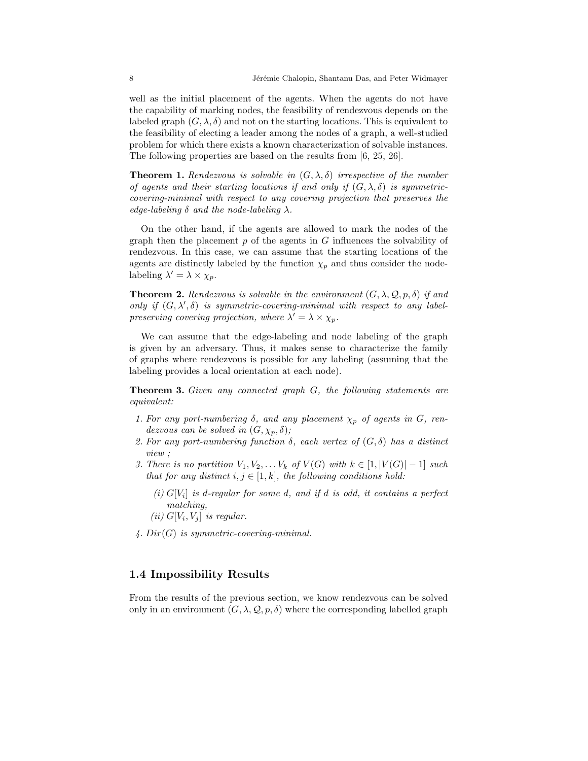well as the initial placement of the agents. When the agents do not have the capability of marking nodes, the feasibility of rendezvous depends on the labeled graph  $(G, \lambda, \delta)$  and not on the starting locations. This is equivalent to the feasibility of electing a leader among the nodes of a graph, a well-studied problem for which there exists a known characterization of solvable instances. The following properties are based on the results from [6, 25, 26].

**Theorem 1.** Rendezvous is solvable in  $(G, \lambda, \delta)$  irrespective of the number of agents and their starting locations if and only if  $(G, \lambda, \delta)$  is symmetriccovering-minimal with respect to any covering projection that preserves the edge-labeling  $\delta$  and the node-labeling  $\lambda$ .

On the other hand, if the agents are allowed to mark the nodes of the graph then the placement  $p$  of the agents in  $G$  influences the solvability of rendezvous. In this case, we can assume that the starting locations of the agents are distinctly labeled by the function  $\chi_p$  and thus consider the nodelabeling  $\lambda' = \lambda \times \chi_p$ .

**Theorem 2.** Rendezvous is solvable in the environment  $(G, \lambda, \mathcal{Q}, p, \delta)$  if and only if  $(G, \lambda', \delta)$  is symmetric-covering-minimal with respect to any labelpreserving covering projection, where  $\lambda' = \lambda \times \chi_p$ .

We can assume that the edge-labeling and node labeling of the graph is given by an adversary. Thus, it makes sense to characterize the family of graphs where rendezvous is possible for any labeling (assuming that the labeling provides a local orientation at each node).

Theorem 3. Given any connected graph G, the following statements are equivalent:

- 1. For any port-numbering  $\delta$ , and any placement  $\chi_p$  of agents in G, rendezvous can be solved in  $(G, \chi_p, \delta)$ ;
- 2. For any port-numbering function  $\delta$ , each vertex of  $(G, \delta)$  has a distinct view ;
- 3. There is no partition  $V_1, V_2, \ldots V_k$  of  $V(G)$  with  $k \in [1, |V(G)| 1]$  such that for any distinct  $i, j \in [1, k]$ , the following conditions hold:
	- (i)  $G[V_i]$  is d-regular for some d, and if d is odd, it contains a perfect matching,
	- (*ii*)  $G[V_i, V_j]$  is regular.

 $4. Dir(G)$  is symmetric-covering-minimal.

## 1.4 Impossibility Results

From the results of the previous section, we know rendezvous can be solved only in an environment  $(G, \lambda, \mathcal{Q}, p, \delta)$  where the corresponding labelled graph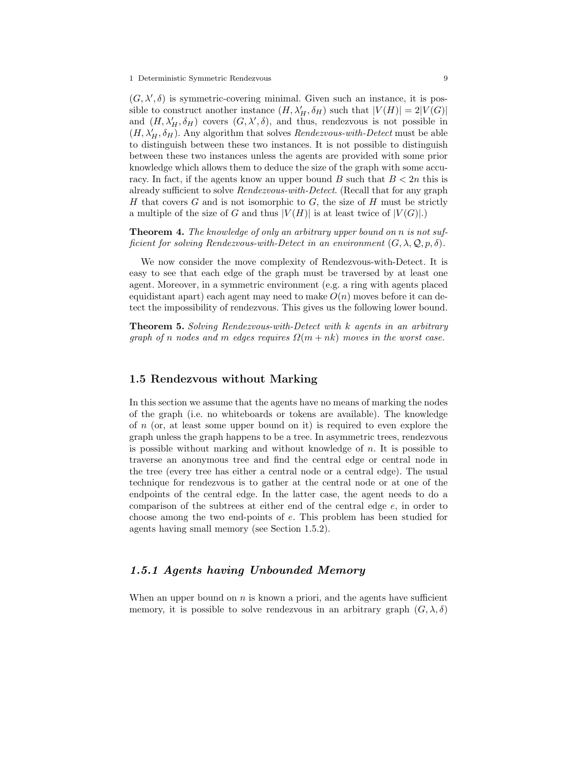$(G, \lambda', \delta)$  is symmetric-covering minimal. Given such an instance, it is possible to construct another instance  $(H, \lambda'_H, \delta_H)$  such that  $|V(H)| = 2|V(G)|$ and  $(H, \lambda'_H, \delta_H)$  covers  $(G, \lambda', \delta)$ , and thus, rendezvous is not possible in  $(H, \lambda'_H, \delta_H)$ . Any algorithm that solves *Rendezvous-with-Detect* must be able to distinguish between these two instances. It is not possible to distinguish between these two instances unless the agents are provided with some prior knowledge which allows them to deduce the size of the graph with some accuracy. In fact, if the agents know an upper bound B such that  $B < 2n$  this is already sufficient to solve Rendezvous-with-Detect. (Recall that for any graph H that covers G and is not isomorphic to G, the size of H must be strictly a multiple of the size of G and thus  $|V(H)|$  is at least twice of  $|V(G)|$ .

Theorem 4. The knowledge of only an arbitrary upper bound on n is not sufficient for solving Rendezvous-with-Detect in an environment  $(G, \lambda, Q, p, \delta)$ .

We now consider the move complexity of Rendezvous-with-Detect. It is easy to see that each edge of the graph must be traversed by at least one agent. Moreover, in a symmetric environment (e.g. a ring with agents placed equidistant apart) each agent may need to make  $O(n)$  moves before it can detect the impossibility of rendezvous. This gives us the following lower bound.

Theorem 5. Solving Rendezvous-with-Detect with k agents in an arbitrary graph of n nodes and m edges requires  $\Omega(m+nk)$  moves in the worst case.

## 1.5 Rendezvous without Marking

In this section we assume that the agents have no means of marking the nodes of the graph (i.e. no whiteboards or tokens are available). The knowledge of  $n$  (or, at least some upper bound on it) is required to even explore the graph unless the graph happens to be a tree. In asymmetric trees, rendezvous is possible without marking and without knowledge of  $n$ . It is possible to traverse an anonymous tree and find the central edge or central node in the tree (every tree has either a central node or a central edge). The usual technique for rendezvous is to gather at the central node or at one of the endpoints of the central edge. In the latter case, the agent needs to do a comparison of the subtrees at either end of the central edge e, in order to choose among the two end-points of e. This problem has been studied for agents having small memory (see Section 1.5.2).

## 1.5.1 Agents having Unbounded Memory

When an upper bound on  $n$  is known a priori, and the agents have sufficient memory, it is possible to solve rendezvous in an arbitrary graph  $(G, \lambda, \delta)$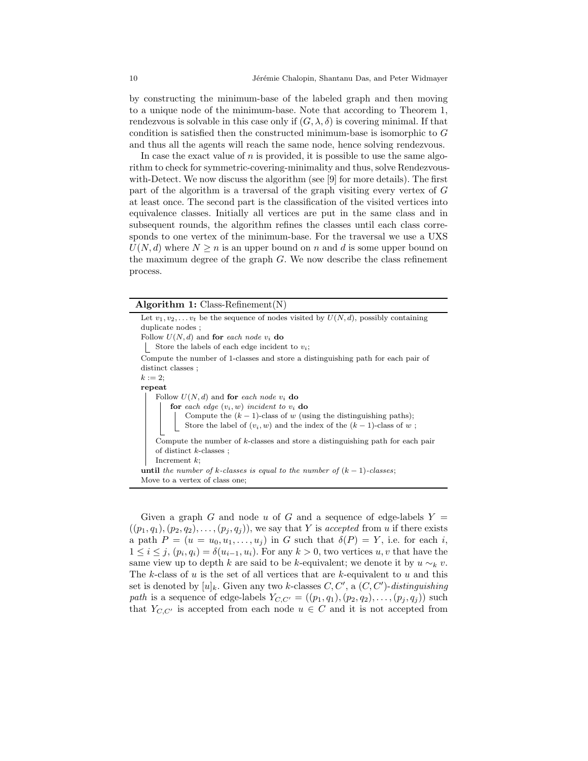by constructing the minimum-base of the labeled graph and then moving to a unique node of the minimum-base. Note that according to Theorem 1, rendezvous is solvable in this case only if  $(G, \lambda, \delta)$  is covering minimal. If that condition is satisfied then the constructed minimum-base is isomorphic to G and thus all the agents will reach the same node, hence solving rendezvous.

In case the exact value of  $n$  is provided, it is possible to use the same algorithm to check for symmetric-covering-minimality and thus, solve Rendezvouswith-Detect. We now discuss the algorithm (see [9] for more details). The first part of the algorithm is a traversal of the graph visiting every vertex of G at least once. The second part is the classification of the visited vertices into equivalence classes. Initially all vertices are put in the same class and in subsequent rounds, the algorithm refines the classes until each class corresponds to one vertex of the minimum-base. For the traversal we use a UXS  $U(N, d)$  where  $N \geq n$  is an upper bound on n and d is some upper bound on the maximum degree of the graph  $G$ . We now describe the class refinement process.

#### Algorithm 1: Class-Refinement(N)

| Let $v_1, v_2, \ldots v_t$ be the sequence of nodes visited by $U(N, d)$ , possibly containing                                               |
|----------------------------------------------------------------------------------------------------------------------------------------------|
| duplicate nodes;                                                                                                                             |
| Follow $U(N, d)$ and for each node $v_i$ do                                                                                                  |
| Store the labels of each edge incident to $v_i$ ;                                                                                            |
| Compute the number of 1-classes and store a distinguishing path for each pair of                                                             |
| distinct classes ;                                                                                                                           |
| $k := 2$ ;                                                                                                                                   |
| repeat                                                                                                                                       |
| Follow $U(N, d)$ and for each node $v_i$ do                                                                                                  |
| for each edge $(v_i, w)$ incident to $v_i$ do                                                                                                |
|                                                                                                                                              |
| Compute the $(k-1)$ -class of w (using the distinguishing paths);<br>Store the label of $(v_i, w)$ and the index of the $(k-1)$ -class of w; |
| Compute the number of $k$ -classes and store a distinguishing path for each pair                                                             |
| of distinct $k$ -classes;                                                                                                                    |
| Increment $k$ ;                                                                                                                              |
| <b>until</b> the number of k-classes is equal to the number of $(k-1)$ -classes;                                                             |
| Move to a vertex of class one;                                                                                                               |
|                                                                                                                                              |

Given a graph G and node u of G and a sequence of edge-labels  $Y =$  $((p_1, q_1), (p_2, q_2), \ldots, (p_i, q_i)),$  we say that Y is accepted from u if there exists a path  $P = (u = u_0, u_1, \ldots, u_j)$  in G such that  $\delta(P) = Y$ , i.e. for each i,  $1 \leq i \leq j$ ,  $(p_i, q_i) = \delta(u_{i-1}, u_i)$ . For any  $k > 0$ , two vertices  $u, v$  that have the same view up to depth k are said to be k-equivalent; we denote it by  $u \sim_k v$ . The k-class of u is the set of all vertices that are k-equivalent to u and this set is denoted by  $[u]_k$ . Given any two k-classes  $C, C',$  a  $(C, C')$ -distinguishing path is a sequence of edge-labels  $Y_{C,C'} = ((p_1,q_1),(p_2,q_2),\ldots,(p_i,q_i))$  such that  $Y_{C,C'}$  is accepted from each node  $u \in C$  and it is not accepted from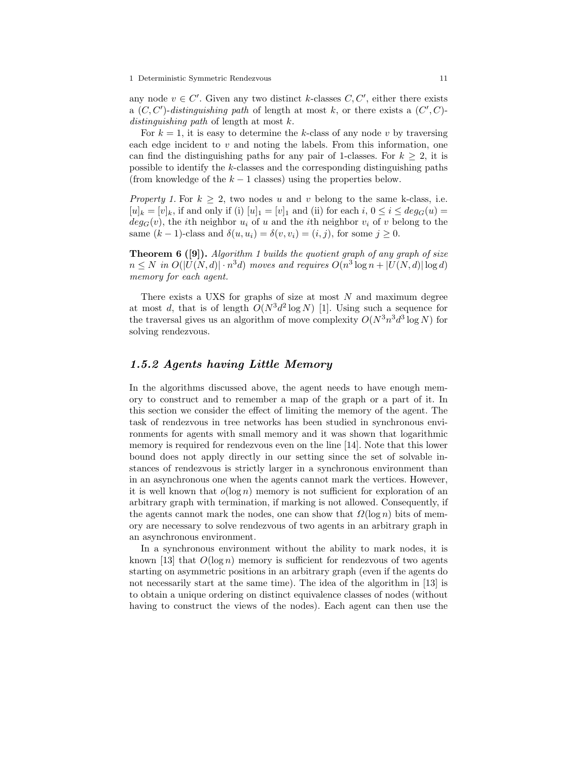any node  $v \in C'$ . Given any two distinct k-classes  $C, C'$ , either there exists a  $(C, C')$ -distinguishing path of length at most k, or there exists a  $(C', C)$ distinguishing path of length at most k.

For  $k = 1$ , it is easy to determine the k-class of any node v by traversing each edge incident to  $v$  and noting the labels. From this information, one can find the distinguishing paths for any pair of 1-classes. For  $k \geq 2$ , it is possible to identify the k-classes and the corresponding distinguishing paths (from knowledge of the  $k - 1$  classes) using the properties below.

Property 1. For  $k \geq 2$ , two nodes u and v belong to the same k-class, i.e.  $[u]_k = [v]_k$ , if and only if (i)  $[u]_1 = [v]_1$  and (ii) for each  $i, 0 \le i \le deg_G(u)$  $deg_G(v)$ , the *i*th neighbor  $u_i$  of u and the *i*th neighbor  $v_i$  of v belong to the same  $(k-1)$ -class and  $\delta(u, u_i) = \delta(v, v_i) = (i, j)$ , for some  $j \geq 0$ .

**Theorem 6 ([9]).** Algorithm 1 builds the quotient graph of any graph of size  $n \leq N \ in \ O(|U(N, d)| \cdot n^3 d)$  moves and requires  $O(n^3 \log n + |U(N, d)| \log d)$ memory for each agent.

There exists a UXS for graphs of size at most  $N$  and maximum degree at most d, that is of length  $O(N^3d^2 \log N)$  [1]. Using such a sequence for the traversal gives us an algorithm of move complexity  $O(N^3 n^3 d^3 \log N)$  for solving rendezvous.

## 1.5.2 Agents having Little Memory

In the algorithms discussed above, the agent needs to have enough memory to construct and to remember a map of the graph or a part of it. In this section we consider the effect of limiting the memory of the agent. The task of rendezvous in tree networks has been studied in synchronous environments for agents with small memory and it was shown that logarithmic memory is required for rendezvous even on the line [14]. Note that this lower bound does not apply directly in our setting since the set of solvable instances of rendezvous is strictly larger in a synchronous environment than in an asynchronous one when the agents cannot mark the vertices. However, it is well known that  $o(\log n)$  memory is not sufficient for exploration of an arbitrary graph with termination, if marking is not allowed. Consequently, if the agents cannot mark the nodes, one can show that  $\Omega(\log n)$  bits of memory are necessary to solve rendezvous of two agents in an arbitrary graph in an asynchronous environment.

In a synchronous environment without the ability to mark nodes, it is known [13] that  $O(\log n)$  memory is sufficient for rendezvous of two agents starting on asymmetric positions in an arbitrary graph (even if the agents do not necessarily start at the same time). The idea of the algorithm in [13] is to obtain a unique ordering on distinct equivalence classes of nodes (without having to construct the views of the nodes). Each agent can then use the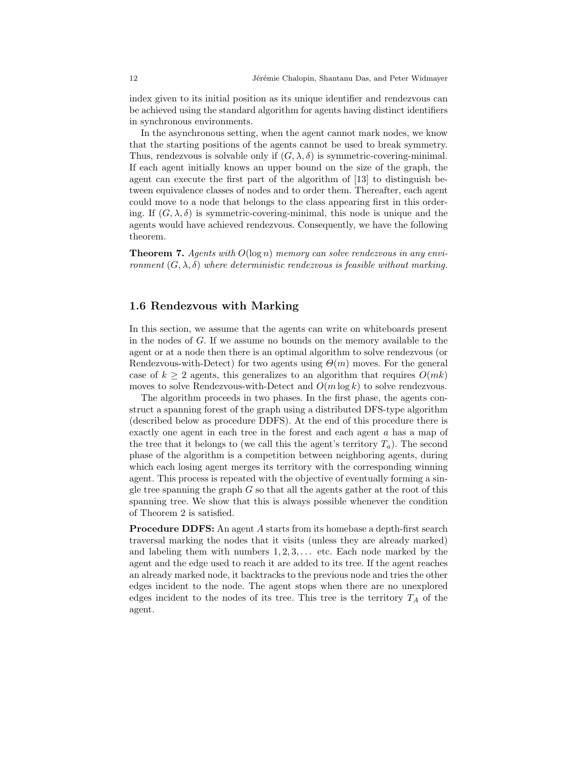index given to its initial position as its unique identifier and rendezvous can be achieved using the standard algorithm for agents having distinct identifiers in synchronous environments.

In the asynchronous setting, when the agent cannot mark nodes, we know that the starting positions of the agents cannot be used to break symmetry. Thus, rendezvous is solvable only if  $(G, \lambda, \delta)$  is symmetric-covering-minimal. If each agent initially knows an upper bound on the size of the graph, the agent can execute the first part of the algorithm of [13] to distinguish between equivalence classes of nodes and to order them. Thereafter, each agent could move to a node that belongs to the class appearing first in this ordering. If  $(G, \lambda, \delta)$  is symmetric-covering-minimal, this node is unique and the agents would have achieved rendezvous. Consequently, we have the following theorem.

**Theorem 7.** Agents with  $O(\log n)$  memory can solve rendezvous in any environment  $(G, \lambda, \delta)$  where deterministic rendezvous is feasible without marking.

## 1.6 Rendezvous with Marking

In this section, we assume that the agents can write on whiteboards present in the nodes of G. If we assume no bounds on the memory available to the agent or at a node then there is an optimal algorithm to solve rendezvous (or Rendezvous-with-Detect) for two agents using  $\Theta(m)$  moves. For the general case of  $k \geq 2$  agents, this generalizes to an algorithm that requires  $O(mk)$ moves to solve Rendezvous-with-Detect and  $O(m \log k)$  to solve rendezvous.

The algorithm proceeds in two phases. In the first phase, the agents construct a spanning forest of the graph using a distributed DFS-type algorithm (described below as procedure DDFS). At the end of this procedure there is exactly one agent in each tree in the forest and each agent a has a map of the tree that it belongs to (we call this the agent's territory  $T_a$ ). The second phase of the algorithm is a competition between neighboring agents, during which each losing agent merges its territory with the corresponding winning agent. This process is repeated with the objective of eventually forming a single tree spanning the graph  $G$  so that all the agents gather at the root of this spanning tree. We show that this is always possible whenever the condition of Theorem 2 is satisfied.

Procedure DDFS: An agent A starts from its homebase a depth-first search traversal marking the nodes that it visits (unless they are already marked) and labeling them with numbers  $1, 2, 3, \ldots$  etc. Each node marked by the agent and the edge used to reach it are added to its tree. If the agent reaches an already marked node, it backtracks to the previous node and tries the other edges incident to the node. The agent stops when there are no unexplored edges incident to the nodes of its tree. This tree is the territory  $T_A$  of the agent.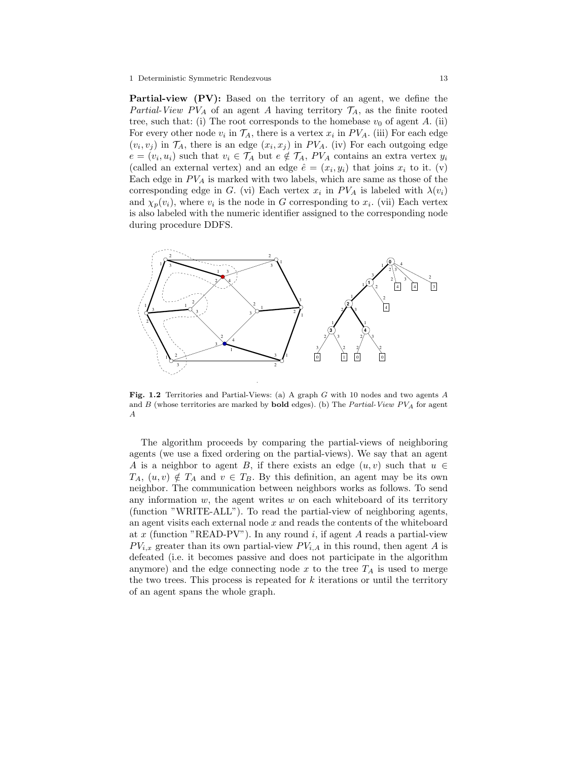#### 1 Deterministic Symmetric Rendezvous 13

Partial-view (PV): Based on the territory of an agent, we define the Partial-View PV<sub>A</sub> of an agent A having territory  $\mathcal{T}_A$ , as the finite rooted tree, such that: (i) The root corresponds to the homebase  $v_0$  of agent A. (ii) For every other node  $v_i$  in  $\mathcal{T}_A$ , there is a vertex  $x_i$  in  $PV_A$ . (iii) For each edge  $(v_i, v_j)$  in  $\mathcal{T}_A$ , there is an edge  $(x_i, x_j)$  in  $PV_A$ . (iv) For each outgoing edge  $e = (v_i, u_i)$  such that  $v_i \in \mathcal{T}_A$  but  $e \notin \mathcal{T}_A$ ,  $PV_A$  contains an extra vertex  $y_i$ (called an external vertex) and an edge  $\hat{e} = (x_i, y_i)$  that joins  $x_i$  to it. (v) Each edge in  $PV_A$  is marked with two labels, which are same as those of the corresponding edge in G. (vi) Each vertex  $x_i$  in  $PV_A$  is labeled with  $\lambda(v_i)$ and  $\chi_p(v_i)$ , where  $v_i$  is the node in G corresponding to  $x_i$ . (vii) Each vertex is also labeled with the numeric identifier assigned to the corresponding node during procedure DDFS.



Fig. 1.2 Territories and Partial-Views: (a) A graph G with 10 nodes and two agents A and B (whose territories are marked by **bold** edges). (b) The *Partial-View*  $PV_A$  for agent A

The algorithm proceeds by comparing the partial-views of neighboring agents (we use a fixed ordering on the partial-views). We say that an agent A is a neighbor to agent B, if there exists an edge  $(u, v)$  such that  $u \in$  $T_A$ ,  $(u, v) \notin T_A$  and  $v \in T_B$ . By this definition, an agent may be its own neighbor. The communication between neighbors works as follows. To send any information  $w$ , the agent writes  $w$  on each whiteboard of its territory (function "WRITE-ALL"). To read the partial-view of neighboring agents, an agent visits each external node  $x$  and reads the contents of the whiteboard at x (function "READ-PV"). In any round  $i$ , if agent A reads a partial-view  $PV_{i,x}$  greater than its own partial-view  $PV_{i,A}$  in this round, then agent A is defeated (i.e. it becomes passive and does not participate in the algorithm anymore) and the edge connecting node  $x$  to the tree  $T_A$  is used to merge the two trees. This process is repeated for  $k$  iterations or until the territory of an agent spans the whole graph.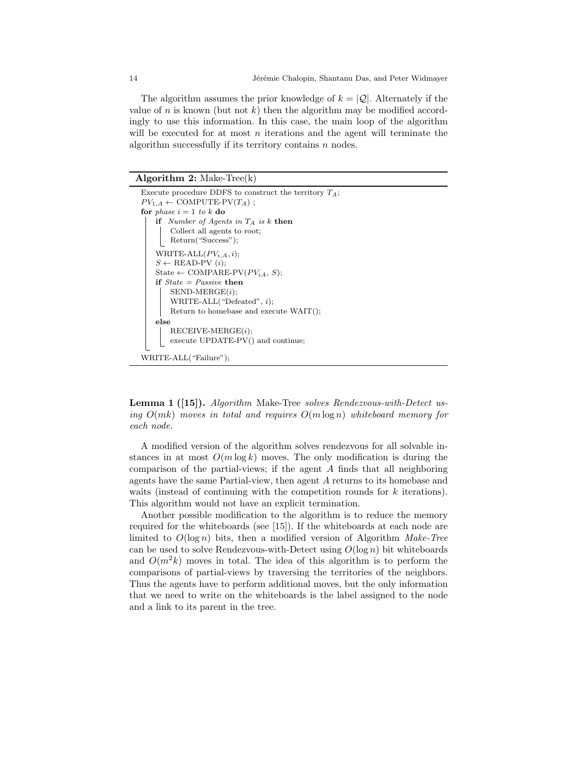The algorithm assumes the prior knowledge of  $k = |Q|$ . Alternately if the value of n is known (but not k) then the algorithm may be modified accordingly to use this information. In this case, the main loop of the algorithm will be executed for at most  $n$  iterations and the agent will terminate the algorithm successfully if its territory contains  $n$  nodes.

#### Algorithm  $2$ : Make-Tree(k)

```
Execute procedure DDFS to construct the territory T_A;
PV_{1,A} \leftarrow \text{COMPUTE-PV}(T_A);for phase i = 1 to k do
   if Number of Agents in T_A is k then
        Collect all agents to root;
        Return("Success");
    WRITE-ALL(PV_{i,A}, i);S \leftarrow \text{READ-PV } (i);State \leftarrow COMPARE-PV(PV_{iA}, S);
    if State = Passing then
        \text{SEND-MERGE}(i);WRITE-ALL("Defeated", i);
        Return to homebase and execute WAIT();
    else
        RECEIVE-MERGE(i);execute UPDATE-PV() and continue;
WRITE-ALL("Failure");
```
Lemma 1 ([15]). Algorithm Make-Tree solves Rendezvous-with-Detect using  $O(mk)$  moves in total and requires  $O(m \log n)$  whiteboard memory for each node.

A modified version of the algorithm solves rendezvous for all solvable instances in at most  $O(m \log k)$  moves. The only modification is during the comparison of the partial-views; if the agent  $A$  finds that all neighboring agents have the same Partial-view, then agent A returns to its homebase and waits (instead of continuing with the competition rounds for  $k$  iterations). This algorithm would not have an explicit termination.

Another possible modification to the algorithm is to reduce the memory required for the whiteboards (see [15]). If the whiteboards at each node are limited to  $O(\log n)$  bits, then a modified version of Algorithm Make-Tree can be used to solve Rendezvous-with-Detect using  $O(\log n)$  bit whiteboards and  $O(m^2k)$  moves in total. The idea of this algorithm is to perform the comparisons of partial-views by traversing the territories of the neighbors. Thus the agents have to perform additional moves, but the only information that we need to write on the whiteboards is the label assigned to the node and a link to its parent in the tree.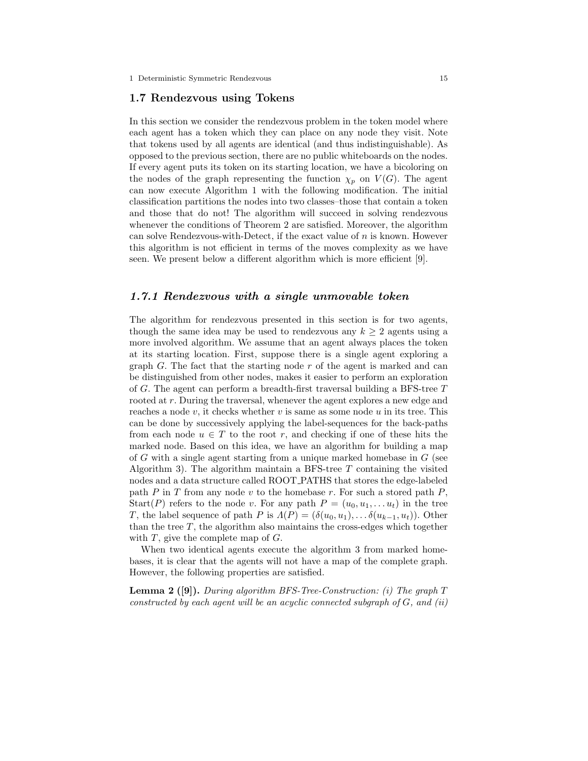#### 1.7 Rendezvous using Tokens

In this section we consider the rendezvous problem in the token model where each agent has a token which they can place on any node they visit. Note that tokens used by all agents are identical (and thus indistinguishable). As opposed to the previous section, there are no public whiteboards on the nodes. If every agent puts its token on its starting location, we have a bicoloring on the nodes of the graph representing the function  $\chi_p$  on  $V(G)$ . The agent can now execute Algorithm 1 with the following modification. The initial classification partitions the nodes into two classes–those that contain a token and those that do not! The algorithm will succeed in solving rendezvous whenever the conditions of Theorem 2 are satisfied. Moreover, the algorithm can solve Rendezvous-with-Detect, if the exact value of  $n$  is known. However this algorithm is not efficient in terms of the moves complexity as we have seen. We present below a different algorithm which is more efficient [9].

#### 1.7.1 Rendezvous with a single unmovable token

The algorithm for rendezvous presented in this section is for two agents, though the same idea may be used to rendezvous any  $k \geq 2$  agents using a more involved algorithm. We assume that an agent always places the token at its starting location. First, suppose there is a single agent exploring a graph  $G$ . The fact that the starting node  $r$  of the agent is marked and can be distinguished from other nodes, makes it easier to perform an exploration of G. The agent can perform a breadth-first traversal building a BFS-tree T rooted at r. During the traversal, whenever the agent explores a new edge and reaches a node  $v$ , it checks whether  $v$  is same as some node  $u$  in its tree. This can be done by successively applying the label-sequences for the back-paths from each node  $u \in T$  to the root r, and checking if one of these hits the marked node. Based on this idea, we have an algorithm for building a map of G with a single agent starting from a unique marked homebase in G (see Algorithm 3). The algorithm maintain a BFS-tree  $T$  containing the visited nodes and a data structure called ROOT PATHS that stores the edge-labeled path  $P$  in  $T$  from any node  $v$  to the homebase  $r$ . For such a stored path  $P$ , Start(P) refers to the node v. For any path  $P = (u_0, u_1, \ldots u_t)$  in the tree T, the label sequence of path P is  $\Lambda(P) = (\delta(u_0, u_1), \ldots, \delta(u_{k-1}, u_t))$ . Other than the tree  $T$ , the algorithm also maintains the cross-edges which together with  $T$ , give the complete map of  $G$ .

When two identical agents execute the algorithm 3 from marked homebases, it is clear that the agents will not have a map of the complete graph. However, the following properties are satisfied.

**Lemma 2 ([9]).** During algorithm BFS-Tree-Construction: (i) The graph  $T$ constructed by each agent will be an acyclic connected subgraph of  $G$ , and  $(ii)$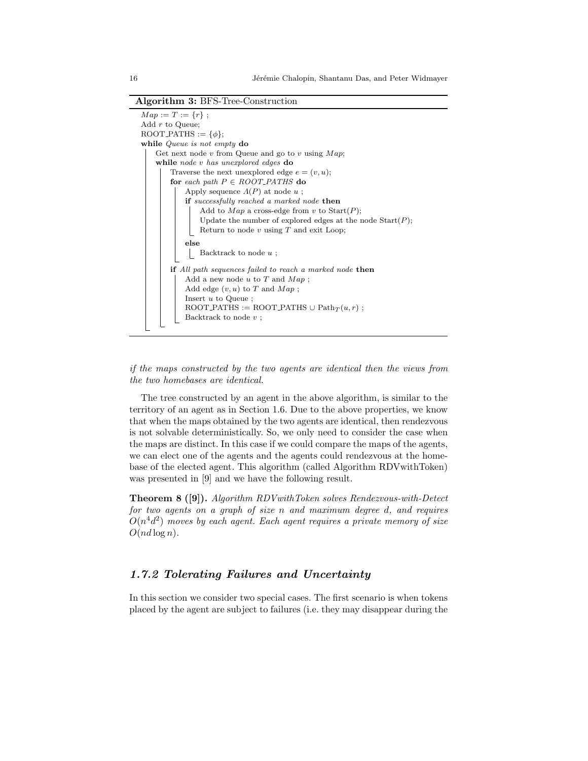Algorithm 3: BFS-Tree-Construction



if the maps constructed by the two agents are identical then the views from the two homebases are identical.

The tree constructed by an agent in the above algorithm, is similar to the territory of an agent as in Section 1.6. Due to the above properties, we know that when the maps obtained by the two agents are identical, then rendezvous is not solvable deterministically. So, we only need to consider the case when the maps are distinct. In this case if we could compare the maps of the agents, we can elect one of the agents and the agents could rendezvous at the homebase of the elected agent. This algorithm (called Algorithm RDVwithToken) was presented in [9] and we have the following result.

Theorem 8 ([9]). Algorithm RDVwithToken solves Rendezvous-with-Detect for two agents on a graph of size n and maximum degree d, and requires  $O(n^4d^2)$  moves by each agent. Each agent requires a private memory of size  $O(nd \log n)$ .

## 1.7.2 Tolerating Failures and Uncertainty

In this section we consider two special cases. The first scenario is when tokens placed by the agent are subject to failures (i.e. they may disappear during the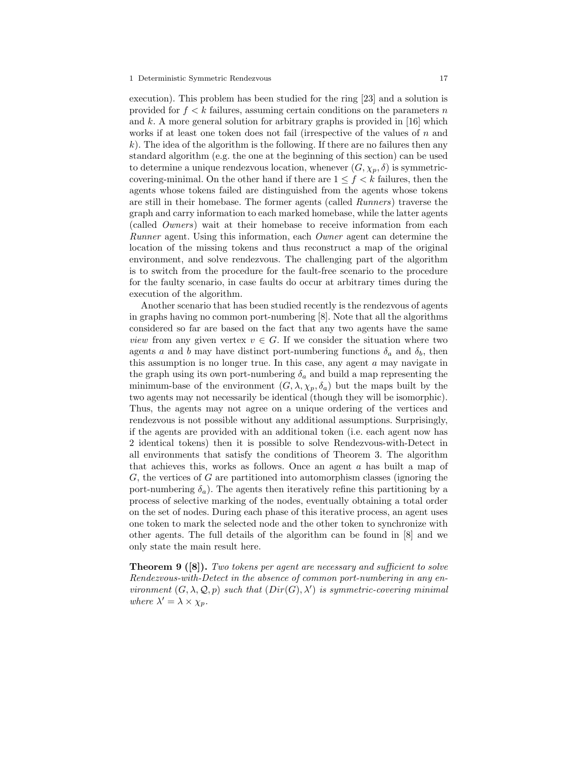execution). This problem has been studied for the ring [23] and a solution is provided for  $f < k$  failures, assuming certain conditions on the parameters n and  $k$ . A more general solution for arbitrary graphs is provided in [16] which works if at least one token does not fail (irrespective of the values of  $n$  and  $k$ ). The idea of the algorithm is the following. If there are no failures then any standard algorithm (e.g. the one at the beginning of this section) can be used to determine a unique rendezvous location, whenever  $(G, \chi_p, \delta)$  is symmetriccovering-minimal. On the other hand if there are  $1 \leq f \leq k$  failures, then the agents whose tokens failed are distinguished from the agents whose tokens are still in their homebase. The former agents (called Runners) traverse the graph and carry information to each marked homebase, while the latter agents (called Owners) wait at their homebase to receive information from each Runner agent. Using this information, each Owner agent can determine the location of the missing tokens and thus reconstruct a map of the original environment, and solve rendezvous. The challenging part of the algorithm is to switch from the procedure for the fault-free scenario to the procedure for the faulty scenario, in case faults do occur at arbitrary times during the execution of the algorithm.

Another scenario that has been studied recently is the rendezvous of agents in graphs having no common port-numbering [8]. Note that all the algorithms considered so far are based on the fact that any two agents have the same *view* from any given vertex  $v \in G$ . If we consider the situation where two agents a and b may have distinct port-numbering functions  $\delta_a$  and  $\delta_b$ , then this assumption is no longer true. In this case, any agent a may navigate in the graph using its own port-numbering  $\delta_a$  and build a map representing the minimum-base of the environment  $(G, \lambda, \chi_p, \delta_a)$  but the maps built by the two agents may not necessarily be identical (though they will be isomorphic). Thus, the agents may not agree on a unique ordering of the vertices and rendezvous is not possible without any additional assumptions. Surprisingly, if the agents are provided with an additional token (i.e. each agent now has 2 identical tokens) then it is possible to solve Rendezvous-with-Detect in all environments that satisfy the conditions of Theorem 3. The algorithm that achieves this, works as follows. Once an agent a has built a map of  $G$ , the vertices of  $G$  are partitioned into automorphism classes (ignoring the port-numbering  $\delta_a$ ). The agents then iteratively refine this partitioning by a process of selective marking of the nodes, eventually obtaining a total order on the set of nodes. During each phase of this iterative process, an agent uses one token to mark the selected node and the other token to synchronize with other agents. The full details of the algorithm can be found in [8] and we only state the main result here.

**Theorem 9 ([8]).** Two tokens per agent are necessary and sufficient to solve Rendezvous-with-Detect in the absence of common port-numbering in any environment  $(G, \lambda, Q, p)$  such that  $(Dir(G), \lambda')$  is symmetric-covering minimal where  $\lambda' = \lambda \times \chi_p$ .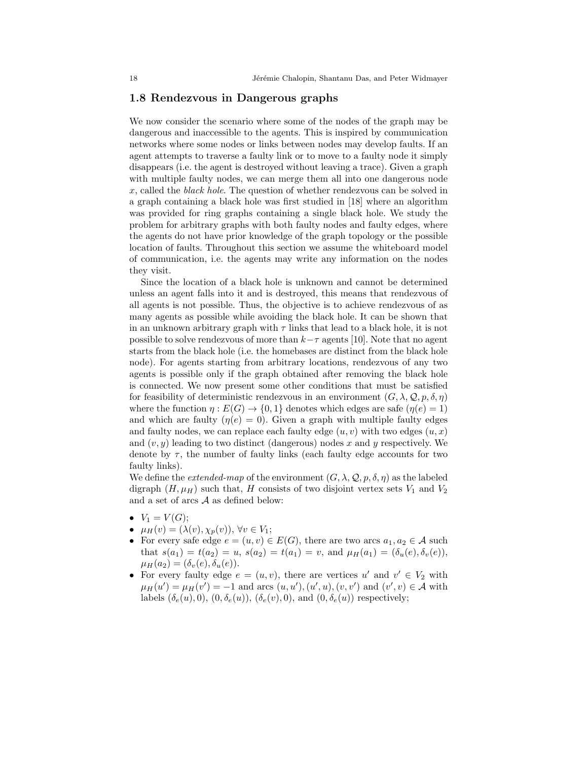#### 1.8 Rendezvous in Dangerous graphs

We now consider the scenario where some of the nodes of the graph may be dangerous and inaccessible to the agents. This is inspired by communication networks where some nodes or links between nodes may develop faults. If an agent attempts to traverse a faulty link or to move to a faulty node it simply disappears (i.e. the agent is destroyed without leaving a trace). Given a graph with multiple faulty nodes, we can merge them all into one dangerous node x, called the black hole. The question of whether rendezvous can be solved in a graph containing a black hole was first studied in [18] where an algorithm was provided for ring graphs containing a single black hole. We study the problem for arbitrary graphs with both faulty nodes and faulty edges, where the agents do not have prior knowledge of the graph topology or the possible location of faults. Throughout this section we assume the whiteboard model of communication, i.e. the agents may write any information on the nodes they visit.

Since the location of a black hole is unknown and cannot be determined unless an agent falls into it and is destroyed, this means that rendezvous of all agents is not possible. Thus, the objective is to achieve rendezvous of as many agents as possible while avoiding the black hole. It can be shown that in an unknown arbitrary graph with  $\tau$  links that lead to a black hole, it is not possible to solve rendezvous of more than  $k-\tau$  agents [10]. Note that no agent starts from the black hole (i.e. the homebases are distinct from the black hole node). For agents starting from arbitrary locations, rendezvous of any two agents is possible only if the graph obtained after removing the black hole is connected. We now present some other conditions that must be satisfied for feasibility of deterministic rendezvous in an environment  $(G, \lambda, Q, p, \delta, \eta)$ where the function  $\eta : E(G) \to \{0,1\}$  denotes which edges are safe  $(\eta(e) = 1)$ and which are faulty  $(\eta(e) = 0)$ . Given a graph with multiple faulty edges and faulty nodes, we can replace each faulty edge  $(u, v)$  with two edges  $(u, x)$ and  $(v, y)$  leading to two distinct (dangerous) nodes x and y respectively. We denote by  $\tau$ , the number of faulty links (each faulty edge accounts for two faulty links).

We define the *extended-map* of the environment  $(G, \lambda, Q, p, \delta, \eta)$  as the labeled digraph  $(H, \mu_H)$  such that, H consists of two disjoint vertex sets  $V_1$  and  $V_2$ and a set of arcs  $A$  as defined below:

- $V_1 = V(G);$
- $\mu_H(v) = (\lambda(v), \chi_p(v)), \forall v \in V_1;$
- For every safe edge  $e = (u, v) \in E(G)$ , there are two arcs  $a_1, a_2 \in A$  such that  $s(a_1) = t(a_2) = u$ ,  $s(a_2) = t(a_1) = v$ , and  $\mu_H(a_1) = (\delta_u(e), \delta_v(e)),$  $\mu_H(a_2) = (\delta_v(e), \delta_u(e)).$
- For every faulty edge  $e = (u, v)$ , there are vertices u' and  $v' \in V_2$  with  $\mu_H(u') = \mu_H(v') = -1$  and arcs  $(u, u'), (u', u), (v, v')$  and  $(v', v) \in \mathcal{A}$  with labels  $(\delta_e(u), 0), (0, \delta_e(u)), (\delta_e(v), 0),$  and  $(0, \delta_e(u))$  respectively;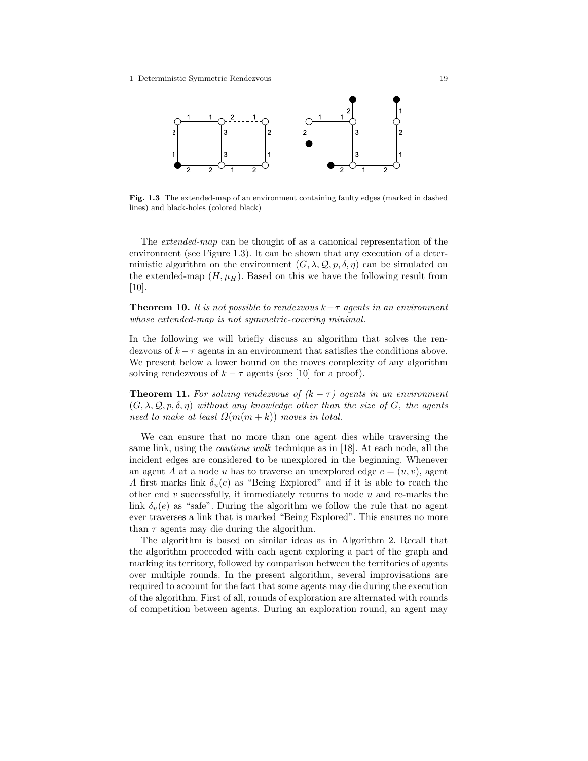

Fig. 1.3 The extended-map of an environment containing faulty edges (marked in dashed lines) and black-holes (colored black)

The extended-map can be thought of as a canonical representation of the environment (see Figure 1.3). It can be shown that any execution of a deterministic algorithm on the environment  $(G, \lambda, \mathcal{Q}, p, \delta, \eta)$  can be simulated on the extended-map  $(H, \mu)$ . Based on this we have the following result from [10].

**Theorem 10.** It is not possible to rendezvous  $k-\tau$  agents in an environment whose extended-map is not symmetric-covering minimal.

In the following we will briefly discuss an algorithm that solves the rendezvous of  $k-\tau$  agents in an environment that satisfies the conditions above. We present below a lower bound on the moves complexity of any algorithm solving rendezvous of  $k - \tau$  agents (see [10] for a proof).

**Theorem 11.** For solving rendezvous of  $(k - \tau)$  agents in an environment  $(G, \lambda, \mathcal{Q}, p, \delta, \eta)$  without any knowledge other than the size of G, the agents need to make at least  $\Omega(m(m+k))$  moves in total.

We can ensure that no more than one agent dies while traversing the same link, using the cautious walk technique as in [18]. At each node, all the incident edges are considered to be unexplored in the beginning. Whenever an agent A at a node u has to traverse an unexplored edge  $e = (u, v)$ , agent A first marks link  $\delta_u(e)$  as "Being Explored" and if it is able to reach the other end  $v$  successfully, it immediately returns to node  $u$  and re-marks the link  $\delta_u(e)$  as "safe". During the algorithm we follow the rule that no agent ever traverses a link that is marked "Being Explored". This ensures no more than  $\tau$  agents may die during the algorithm.

The algorithm is based on similar ideas as in Algorithm 2. Recall that the algorithm proceeded with each agent exploring a part of the graph and marking its territory, followed by comparison between the territories of agents over multiple rounds. In the present algorithm, several improvisations are required to account for the fact that some agents may die during the execution of the algorithm. First of all, rounds of exploration are alternated with rounds of competition between agents. During an exploration round, an agent may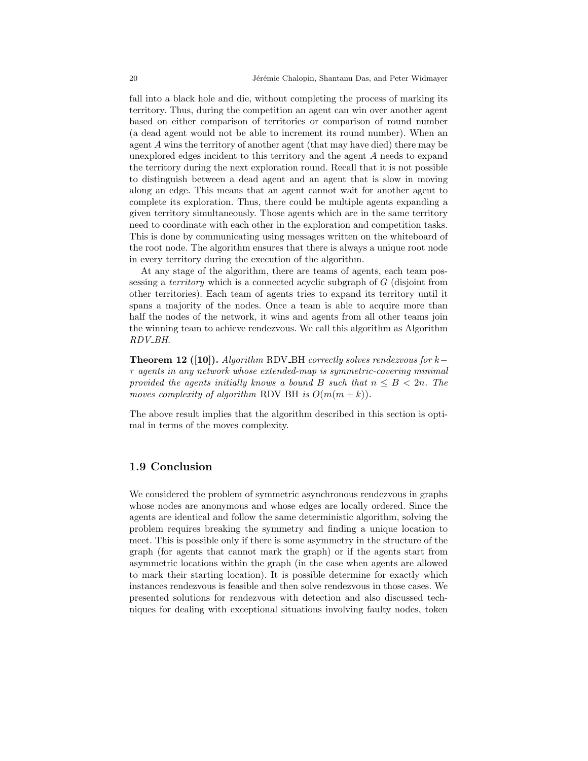fall into a black hole and die, without completing the process of marking its territory. Thus, during the competition an agent can win over another agent based on either comparison of territories or comparison of round number (a dead agent would not be able to increment its round number). When an agent A wins the territory of another agent (that may have died) there may be unexplored edges incident to this territory and the agent A needs to expand the territory during the next exploration round. Recall that it is not possible to distinguish between a dead agent and an agent that is slow in moving along an edge. This means that an agent cannot wait for another agent to complete its exploration. Thus, there could be multiple agents expanding a given territory simultaneously. Those agents which are in the same territory need to coordinate with each other in the exploration and competition tasks. This is done by communicating using messages written on the whiteboard of the root node. The algorithm ensures that there is always a unique root node in every territory during the execution of the algorithm.

At any stage of the algorithm, there are teams of agents, each team possessing a territory which is a connected acyclic subgraph of G (disjoint from other territories). Each team of agents tries to expand its territory until it spans a majority of the nodes. Once a team is able to acquire more than half the nodes of the network, it wins and agents from all other teams join the winning team to achieve rendezvous. We call this algorithm as Algorithm RDV BH.

Theorem 12 ([10]). Algorithm RDV\_BH correctly solves rendezvous for  $k \tau$  agents in any network whose extended-map is symmetric-covering minimal provided the agents initially knows a bound B such that  $n \leq B \leq 2n$ . The moves complexity of algorithm RDV-BH is  $O(m(m + k))$ .

The above result implies that the algorithm described in this section is optimal in terms of the moves complexity.

## 1.9 Conclusion

We considered the problem of symmetric asynchronous rendezvous in graphs whose nodes are anonymous and whose edges are locally ordered. Since the agents are identical and follow the same deterministic algorithm, solving the problem requires breaking the symmetry and finding a unique location to meet. This is possible only if there is some asymmetry in the structure of the graph (for agents that cannot mark the graph) or if the agents start from asymmetric locations within the graph (in the case when agents are allowed to mark their starting location). It is possible determine for exactly which instances rendezvous is feasible and then solve rendezvous in those cases. We presented solutions for rendezvous with detection and also discussed techniques for dealing with exceptional situations involving faulty nodes, token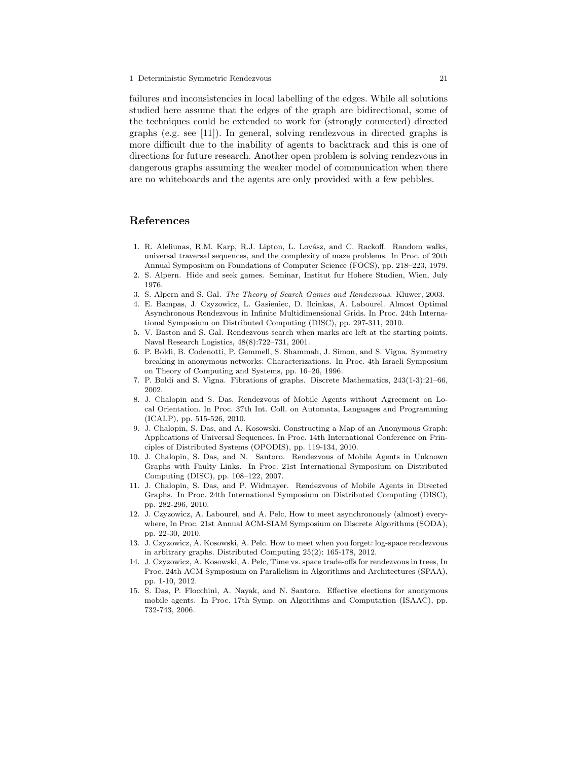failures and inconsistencies in local labelling of the edges. While all solutions studied here assume that the edges of the graph are bidirectional, some of the techniques could be extended to work for (strongly connected) directed graphs (e.g. see [11]). In general, solving rendezvous in directed graphs is more difficult due to the inability of agents to backtrack and this is one of directions for future research. Another open problem is solving rendezvous in dangerous graphs assuming the weaker model of communication when there are no whiteboards and the agents are only provided with a few pebbles.

## References

- 1. R. Aleliunas, R.M. Karp, R.J. Lipton, L. Lovász, and C. Rackoff. Random walks, universal traversal sequences, and the complexity of maze problems. In Proc. of 20th Annual Symposium on Foundations of Computer Science (FOCS), pp. 218–223, 1979.
- 2. S. Alpern. Hide and seek games. Seminar, Institut fur Hohere Studien, Wien, July 1976.
- 3. S. Alpern and S. Gal. The Theory of Search Games and Rendezvous. Kluwer, 2003.
- 4. E. Bampas, J. Czyzowicz, L. Gasieniec, D. Ilcinkas, A. Labourel. Almost Optimal Asynchronous Rendezvous in Infinite Multidimensional Grids. In Proc. 24th International Symposium on Distributed Computing (DISC), pp. 297-311, 2010.
- 5. V. Baston and S. Gal. Rendezvous search when marks are left at the starting points. Naval Research Logistics, 48(8):722–731, 2001.
- 6. P. Boldi, B. Codenotti, P. Gemmell, S. Shammah, J. Simon, and S. Vigna. Symmetry breaking in anonymous networks: Characterizations. In Proc. 4th Israeli Symposium on Theory of Computing and Systems, pp. 16–26, 1996.
- 7. P. Boldi and S. Vigna. Fibrations of graphs. Discrete Mathematics, 243(1-3):21–66, 2002.
- 8. J. Chalopin and S. Das. Rendezvous of Mobile Agents without Agreement on Local Orientation. In Proc. 37th Int. Coll. on Automata, Languages and Programming (ICALP), pp. 515-526, 2010.
- 9. J. Chalopin, S. Das, and A. Kosowski. Constructing a Map of an Anonymous Graph: Applications of Universal Sequences. In Proc. 14th International Conference on Principles of Distributed Systems (OPODIS), pp. 119-134, 2010.
- 10. J. Chalopin, S. Das, and N. Santoro. Rendezvous of Mobile Agents in Unknown Graphs with Faulty Links. In Proc. 21st International Symposium on Distributed Computing (DISC), pp. 108–122, 2007.
- 11. J. Chalopin, S. Das, and P. Widmayer. Rendezvous of Mobile Agents in Directed Graphs. In Proc. 24th International Symposium on Distributed Computing (DISC), pp. 282-296, 2010.
- 12. J. Czyzowicz, A. Labourel, and A. Pelc, How to meet asynchronously (almost) everywhere, In Proc. 21st Annual ACM-SIAM Symposium on Discrete Algorithms (SODA), pp. 22-30, 2010.
- 13. J. Czyzowicz, A. Kosowski, A. Pelc. How to meet when you forget: log-space rendezvous in arbitrary graphs. Distributed Computing 25(2): 165-178, 2012.
- 14. J. Czyzowicz, A. Kosowski, A. Pelc, Time vs. space trade-offs for rendezvous in trees, In Proc. 24th ACM Symposium on Parallelism in Algorithms and Architectures (SPAA), pp. 1-10, 2012.
- 15. S. Das, P. Flocchini, A. Nayak, and N. Santoro. Effective elections for anonymous mobile agents. In Proc. 17th Symp. on Algorithms and Computation (ISAAC), pp. 732-743, 2006.